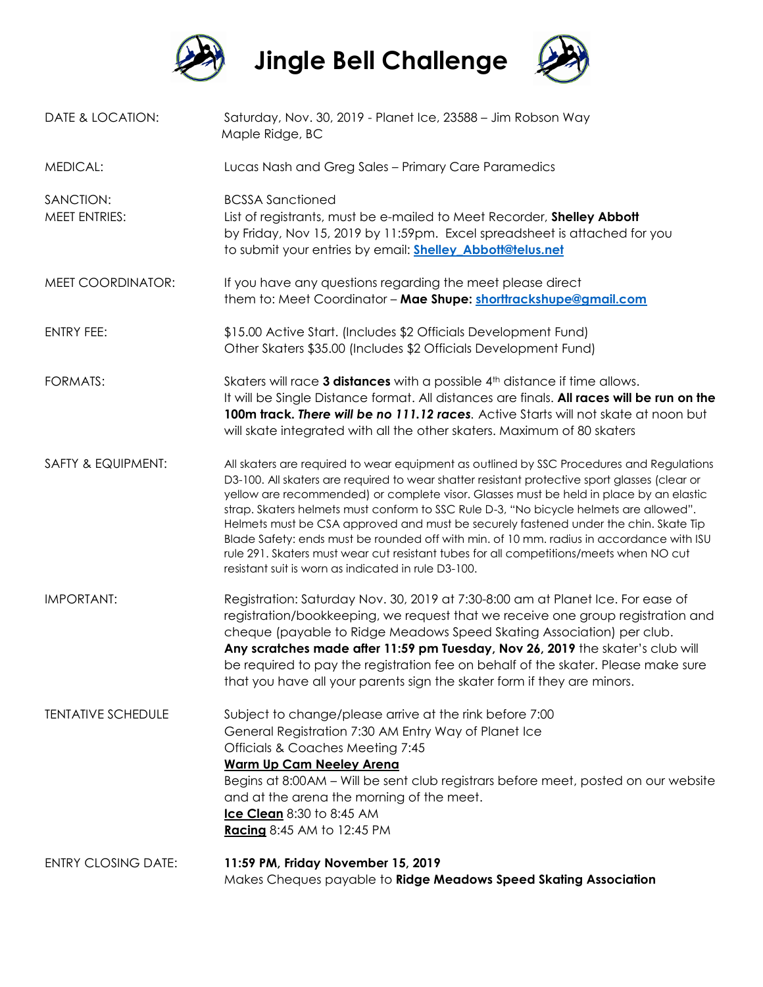

**Jingle Bell Challenge**



| DATE & LOCATION:                  | Saturday, Nov. 30, 2019 - Planet Ice, 23588 - Jim Robson Way<br>Maple Ridge, BC                                                                                                                                                                                                                                                                                                                                                                                                                                                                                                                                                                                                                                    |  |
|-----------------------------------|--------------------------------------------------------------------------------------------------------------------------------------------------------------------------------------------------------------------------------------------------------------------------------------------------------------------------------------------------------------------------------------------------------------------------------------------------------------------------------------------------------------------------------------------------------------------------------------------------------------------------------------------------------------------------------------------------------------------|--|
| <b>MEDICAL:</b>                   | Lucas Nash and Greg Sales - Primary Care Paramedics                                                                                                                                                                                                                                                                                                                                                                                                                                                                                                                                                                                                                                                                |  |
| SANCTION:<br><b>MEET ENTRIES:</b> | <b>BCSSA Sanctioned</b><br>List of registrants, must be e-mailed to Meet Recorder, Shelley Abbott<br>by Friday, Nov 15, 2019 by 11:59pm. Excel spreadsheet is attached for you<br>to submit your entries by email: <b>Shelley Abbott@telus.net</b>                                                                                                                                                                                                                                                                                                                                                                                                                                                                 |  |
| MEET COORDINATOR:                 | If you have any questions regarding the meet please direct<br>them to: Meet Coordinator - Mae Shupe: shorttrackshupe@gmail.com                                                                                                                                                                                                                                                                                                                                                                                                                                                                                                                                                                                     |  |
| <b>ENTRY FEE:</b>                 | \$15.00 Active Start. (Includes \$2 Officials Development Fund)<br>Other Skaters \$35.00 (Includes \$2 Officials Development Fund)                                                                                                                                                                                                                                                                                                                                                                                                                                                                                                                                                                                 |  |
| <b>FORMATS:</b>                   | Skaters will race 3 distances with a possible 4th distance if time allows.<br>It will be Single Distance format. All distances are finals. All races will be run on the<br>100m track. There will be no 111.12 races. Active Starts will not skate at noon but<br>will skate integrated with all the other skaters. Maximum of 80 skaters                                                                                                                                                                                                                                                                                                                                                                          |  |
| SAFTY & EQUIPMENT:                | All skaters are required to wear equipment as outlined by SSC Procedures and Regulations<br>D3-100. All skaters are required to wear shatter resistant protective sport glasses (clear or<br>yellow are recommended) or complete visor. Glasses must be held in place by an elastic<br>strap. Skaters helmets must conform to SSC Rule D-3, "No bicycle helmets are allowed".<br>Helmets must be CSA approved and must be securely fastened under the chin. Skate Tip<br>Blade Safety: ends must be rounded off with min. of 10 mm. radius in accordance with ISU<br>rule 291. Skaters must wear cut resistant tubes for all competitions/meets when NO cut<br>resistant suit is worn as indicated in rule D3-100. |  |
| <b>IMPORTANT:</b>                 | Registration: Saturday Nov. 30, 2019 at 7:30-8:00 am at Planet Ice. For ease of<br>registration/bookkeeping, we request that we receive one group registration and<br>cheque (payable to Ridge Meadows Speed Skating Association) per club.<br>Any scratches made after 11:59 pm Tuesday, Nov 26, 2019 the skater's club will<br>be required to pay the registration fee on behalf of the skater. Please make sure<br>that you have all your parents sign the skater form if they are minors.                                                                                                                                                                                                                      |  |
| <b>TENTATIVE SCHEDULE</b>         | Subject to change/please arrive at the rink before 7:00<br>General Registration 7:30 AM Entry Way of Planet Ice<br><b>Officials &amp; Coaches Meeting 7:45</b><br><b>Warm Up Cam Neeley Arena</b><br>Begins at 8:00AM - Will be sent club registrars before meet, posted on our website<br>and at the arena the morning of the meet.<br>Ice Clean 8:30 to 8:45 AM<br><b>Racing</b> 8:45 AM to 12:45 PM                                                                                                                                                                                                                                                                                                             |  |
| <b>ENTRY CLOSING DATE:</b>        | 11:59 PM, Friday November 15, 2019<br>Makes Cheques payable to Ridge Meadows Speed Skating Association                                                                                                                                                                                                                                                                                                                                                                                                                                                                                                                                                                                                             |  |